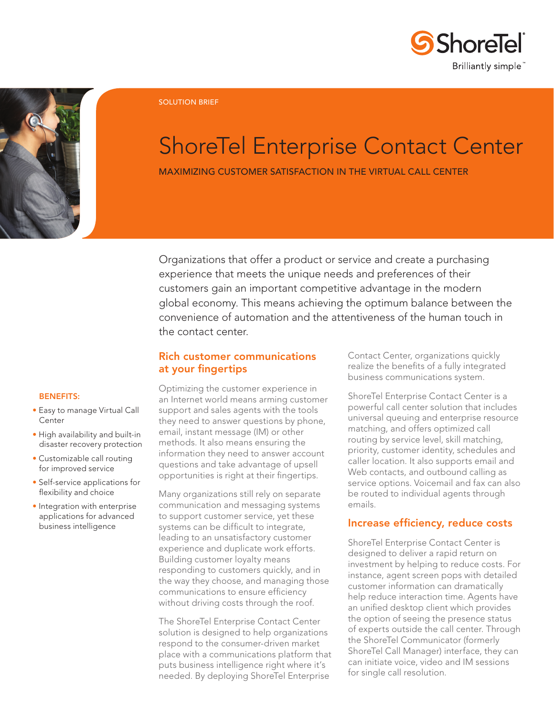



SOLUTION BRIEF

# ShoreTel Enterprise Contact Center

Maximizing customer satisfaction in the virtual call center

Organizations that offer a product or service and create a purchasing experience that meets the unique needs and preferences of their customers gain an important competitive advantage in the modern global economy. This means achieving the optimum balance between the convenience of automation and the attentiveness of the human touch in the contact center.

# Rich customer communications at your fingertips

#### Benefits:

- Easy to manage Virtual Call Center
- High availability and built-in disaster recovery protection
- Customizable call routing for improved service
- Self-service applications for flexibility and choice
- Integration with enterprise applications for advanced business intelligence

Optimizing the customer experience in an Internet world means arming customer support and sales agents with the tools they need to answer questions by phone, email, instant message (IM) or other methods. It also means ensuring the information they need to answer account questions and take advantage of upsell opportunities is right at their fingertips.

Many organizations still rely on separate communication and messaging systems to support customer service, yet these systems can be difficult to integrate, leading to an unsatisfactory customer experience and duplicate work efforts. Building customer loyalty means responding to customers quickly, and in the way they choose, and managing those communications to ensure efficiency without driving costs through the roof.

The ShoreTel Enterprise Contact Center solution is designed to help organizations respond to the consumer-driven market place with a communications platform that puts business intelligence right where it's needed. By deploying ShoreTel Enterprise

Contact Center, organizations quickly realize the benefits of a fully integrated business communications system.

ShoreTel Enterprise Contact Center is a powerful call center solution that includes universal queuing and enterprise resource matching, and offers optimized call routing by service level, skill matching, priority, customer identity, schedules and caller location. It also supports email and Web contacts, and outbound calling as service options. Voicemail and fax can also be routed to individual agents through emails.

## Increase efficiency, reduce costs

ShoreTel Enterprise Contact Center is designed to deliver a rapid return on investment by helping to reduce costs. For instance, agent screen pops with detailed customer information can dramatically help reduce interaction time. Agents have an unified desktop client which provides the option of seeing the presence status of experts outside the call center. Through the ShoreTel Communicator (formerly ShoreTel Call Manager) interface, they can can initiate voice, video and IM sessions for single call resolution.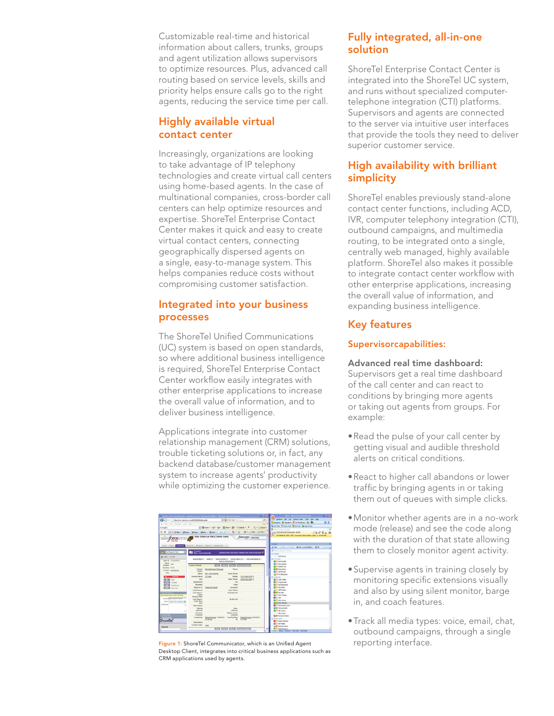Customizable real-time and historical information about callers, trunks, groups and agent utilization allows supervisors to optimize resources. Plus, advanced call routing based on service levels, skills and priority helps ensure calls go to the right agents, reducing the service time per call.

# Highly available virtual contact center

Increasingly, organizations are looking to take advantage of IP telephony technologies and create virtual call centers using home-based agents. In the case of multinational companies, cross-border call centers can help optimize resources and expertise. ShoreTel Enterprise Contact Center makes it quick and easy to create virtual contact centers, connecting geographically dispersed agents on a single, easy-to-manage system. This helps companies reduce costs without compromising customer satisfaction.

# Integrated into your business processes

The ShoreTel Unified Communications (UC) system is based on open standards, so where additional business intelligence is required, ShoreTel Enterprise Contact Center workflow easily integrates with other enterprise applications to increase the overall value of information, and to deliver business intelligence.

Applications integrate into customer relationship management (CRM) solutions, trouble ticketing solutions or, in fact, any backend database/customer management system to increase agents' productivity while optimizing the customer experience.

| Contact: Mrs. Lisa Gironda - salesferco.com - Enterarise Edition - Windows Internet Explorer.                                                                 |                                            |                                                       |                                                                                                                                                              |                                             | $  x$    | 3442 - Shere Tel Communicator                                         | FIDX |
|---------------------------------------------------------------------------------------------------------------------------------------------------------------|--------------------------------------------|-------------------------------------------------------|--------------------------------------------------------------------------------------------------------------------------------------------------------------|---------------------------------------------|----------|-----------------------------------------------------------------------|------|
| Miss Unit administration/000000000uvgAAA<br><b>County</b>                                                                                                     |                                            |                                                       | $\blacktriangleright$ $\blacksquare$ $\blacksquare$ $\blacksquare$ $\blacksquare$ $\blacksquare$ $\blacksquare$ $\blacksquare$ $\blacksquare$ $\blacksquare$ |                                             | $\Omega$ | Windows Dial Call Contact-Center Tools View Help-                     |      |
| Fis Fill Your Facerbes, Tools Helly                                                                                                                           |                                            |                                                       |                                                                                                                                                              |                                             | tirds.   | Assigned . all Sundard . C On The Phone . By - Ph -                   | 田 く  |
| Google                                                                                                                                                        |                                            | w (@teach - all - de - \$3.9cm - \$3 - \$1.5cmm) - 22 |                                                                                                                                                              | $0. - 0.9$ Sm $h$ -                         |          | Q, SUP PRO <sup>137</sup> Whap Code 133 Poli Code 133 Login Group     |      |
|                                                                                                                                                               |                                            |                                                       |                                                                                                                                                              |                                             |          | <b>Criter a name or number</b>                                        | $-1$ |
|                                                                                                                                                               |                                            | VIRGINIA COMPOSITION AND ALL AND COLLECTION           |                                                                                                                                                              |                                             |          | m.A. (312) 354-0125 (Cannected - 00:45)                               |      |
|                                                                                                                                                               |                                            | Setup - System Log - Help & Training - Logoot         |                                                                                                                                                              |                                             | - -      | 11123540125 6510 3442 Connected Alpha Hutline Alpha 0 4.00:42 PM      |      |
| sales <b>force</b> crm                                                                                                                                        |                                            |                                                       |                                                                                                                                                              | force.com <sup>c</sup> car cereer           |          |                                                                       |      |
|                                                                                                                                                               |                                            |                                                       |                                                                                                                                                              |                                             |          |                                                                       |      |
| Home Cases Centrate Accounts Solutions Reports Deshboards #                                                                                                   |                                            |                                                       |                                                                                                                                                              |                                             |          | Cirtato                                                               |      |
|                                                                                                                                                               |                                            |                                                       |                                                                                                                                                              |                                             |          | Citation of Decek. El Did ap Did Mallon. @ 24 El Steven a<br>$3 - 44$ |      |
| Not Ready for Callis<br>×                                                                                                                                     | <b>Contact</b>                             |                                                       |                                                                                                                                                              |                                             |          | <b>D</b> Paul a contact or rundum                                     |      |
| Customize Page   Edit Layout   Printable View   Help for this Page @<br>a<br>Mrs. Lisa Gronda                                                                 |                                            |                                                       |                                                                                                                                                              |                                             |          | (i) publies                                                           |      |
| Q Line 1 On Call                                                                                                                                              |                                            |                                                       |                                                                                                                                                              |                                             |          | <b>COLLEGE DISTANT</b>                                                |      |
| Coportlucibles (C)   Salees (C)   Spen Activities (C)   Activity History (E+)   IETh/L Email Status (C)  <br>Caller ID 13122540125<br>Notes & Attachments (2) |                                            |                                                       |                                                                                                                                                              |                                             |          | <b>R</b> Carloans<br><b>B.I. Lon Fantin</b>                           |      |
| <b>Dialect</b><br>3442                                                                                                                                        |                                            |                                                       |                                                                                                                                                              |                                             |          | <b>Bull Enclosition</b>                                               |      |
| <b>Burnber</b>                                                                                                                                                | <b>Contact Detail</b>                      |                                                       |                                                                                                                                                              | Reguest Update                              |          | <b>B.C. Cal Ban-Tair</b>                                              |      |
| Duration 00:42                                                                                                                                                | Contact                                    | <b>ShoreTel User (Change)</b>                         | Phone                                                                                                                                                        |                                             |          | <b>B.B.</b> Great Marys                                               |      |
| Contact Lisa Granda                                                                                                                                           | Owner                                      |                                                       |                                                                                                                                                              |                                             |          | <b>B.C. Cld front</b>                                                 |      |
| Title                                                                                                                                                         | <b>Name</b>                                | Mrs. Lisa Gronda                                      | <b>Home Divisio</b>                                                                                                                                          |                                             |          | C PG Johannon                                                         |      |
| <b>Trid Call</b><br>$\overline{\phantom{a}}$                                                                                                                  | <b>Account Name</b>                        | <b>CT</b> Tech                                        | Mobile                                                                                                                                                       | (312) 354-0125 %                            |          | В симиех                                                              |      |
| <b>STERN</b><br>Mole                                                                                                                                          | Tata                                       |                                                       | <b>Criter Phone</b>                                                                                                                                          | (570) 793-1931 %                            |          | <b>B.</b> If I Carlo Waller                                           |      |
| ਜਾਰਥ<br>Transfer                                                                                                                                              | <b>Department</b>                          |                                                       | Fax                                                                                                                                                          |                                             |          | <b>Bill</b> Orag Amold                                                |      |
| 201702<br>Penderson                                                                                                                                           | Birthdate                                  |                                                       | <b>Freud</b>                                                                                                                                                 |                                             |          | <b>B.I. Con Security</b><br><b>B.F.</b> Lawrence                      |      |
| 車口湖<br>New Line                                                                                                                                               | Reports To<br><b>Lead Source</b>           | Mew Ore Chart                                         | Assistant<br><b>Asst Phone</b>                                                                                                                               |                                             |          | <b>DIE Juff Roydey</b>                                                |      |
| <b>Y</b> Current Call Los                                                                                                                                     | Last Steeling                              |                                                       | <b>Email Oct Out</b>                                                                                                                                         |                                             |          | <b>Child</b> So Seno                                                  |      |
| an will auto save when rail ents.                                                                                                                             | Touch                                      |                                                       |                                                                                                                                                              |                                             |          | <b>B.I. July Charles</b>                                              |      |
| Subject Car 505-2012 4 12 PM                                                                                                                                  | <b>Benuest Date</b>                        |                                                       |                                                                                                                                                              |                                             |          | 0.0116                                                                |      |
| <b>Name Contact Me Las Gron N</b>                                                                                                                             | <b>Leat Stee-in-</b><br><b>Treath Save</b> |                                                       | Do Not Call                                                                                                                                                  |                                             |          | <b>B.IT Mark Armore</b>                                               |      |
| Comments                                                                                                                                                      | <b>Code</b>                                |                                                       |                                                                                                                                                              |                                             |          | <b>B. M. Mary Nederland</b>                                           |      |
|                                                                                                                                                               | Other Notes                                |                                                       |                                                                                                                                                              |                                             |          | <b>C</b> IP Mchael Marcocco                                           |      |
|                                                                                                                                                               | Malling<br>Address                         |                                                       | Other<br>Address                                                                                                                                             |                                             |          | <b>B. ID Mchael Sader</b><br><b>B.C. His Statto</b>                   |      |
|                                                                                                                                                               | Previous                                   |                                                       | <b>Colorános</b> ed man                                                                                                                                      |                                             |          | <b>Child Mix Station</b>                                              |      |
| <b>Class 2 Calls</b>                                                                                                                                          | Company                                    |                                                       | company                                                                                                                                                      |                                             |          | <b>B.C.</b> Kichard Window                                            |      |
| W. Cathy Sedan                                                                                                                                                | <b>Created By</b>                          | ShoreTel User, 1/18/2010<br>11:46 AM                  | <b>Last Modified</b><br>n.                                                                                                                                   | ShoreTel Liser, 3/31/2010<br><b>4.57 PM</b> |          | <b>Brand Adams</b>                                                    |      |
| ShoreTel                                                                                                                                                      | Description                                |                                                       |                                                                                                                                                              |                                             |          | <b>Call Deter Rendien</b>                                             |      |
|                                                                                                                                                               | <b>Custom Links</b>                        | map                                                   |                                                                                                                                                              |                                             |          | <b>Bull but Kideo</b>                                                 |      |
| Seerch                                                                                                                                                        |                                            |                                                       | Tel: Debte Cone Executivelete                                                                                                                                |                                             |          | <b>Call Second Joanny</b>                                             |      |
|                                                                                                                                                               |                                            |                                                       |                                                                                                                                                              |                                             |          | <b>B.C. Tell-Forestor</b>                                             |      |

Figure 1: ShoreTel Communicator, which is an Unified Agent reporting interface. Desktop Client, integrates into critical business applications such as CRM applications used by agents.

# Fully integrated, all-in-one solution

ShoreTel Enterprise Contact Center is integrated into the ShoreTel UC system, and runs without specialized computertelephone integration (CTI) platforms. Supervisors and agents are connected to the server via intuitive user interfaces that provide the tools they need to deliver superior customer service.

# High availability with brilliant simplicity

ShoreTel enables previously stand-alone contact center functions, including ACD, IVR, computer telephony integration (CTI), outbound campaigns, and multimedia routing, to be integrated onto a single, centrally web managed, highly available platform. ShoreTel also makes it possible to integrate contact center workflow with other enterprise applications, increasing the overall value of information, and expanding business intelligence.

# Key features

## Supervisorcapabilities:

#### Advanced real time dashboard:

Supervisors get a real time dashboard of the call center and can react to conditions by bringing more agents or taking out agents from groups. For example:

- Read the pulse of your call center by getting visual and audible threshold alerts on critical conditions.
- • React to higher call abandons or lower traffic by bringing agents in or taking them out of queues with simple clicks.
- • Monitor whether agents are in a no-work mode (release) and see the code along with the duration of that state allowing them to closely monitor agent activity.
- Supervise agents in training closely by monitoring specific extensions visually and also by using silent monitor, barge in, and coach features.
- · Track all media types: voice, email, chat, outbound campaigns, through a single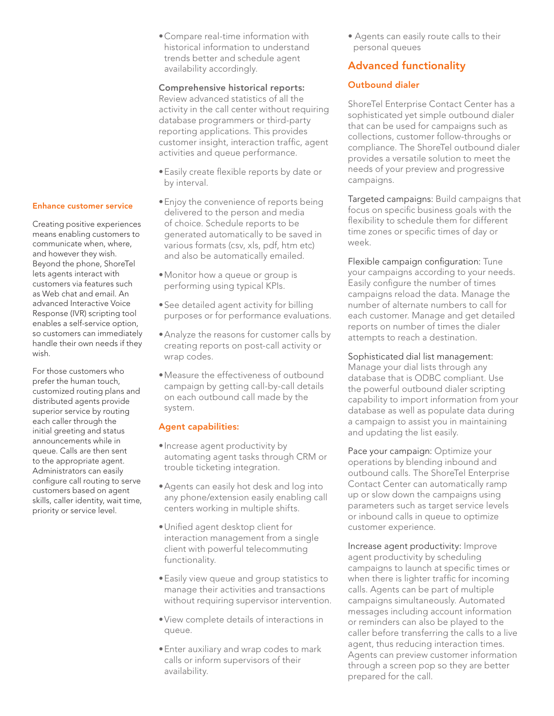• Compare real-time information with historical information to understand trends better and schedule agent availability accordingly.

### Comprehensive historical reports:

Review advanced statistics of all the activity in the call center without requiring database programmers or third-party reporting applications. This provides customer insight, interaction traffic, agent activities and queue performance.

- Easily create flexible reports by date or by interval.
- Enjoy the convenience of reports being delivered to the person and media of choice. Schedule reports to be generated automatically to be saved in various formats (csv, xls, pdf, htm etc) and also be automatically emailed.
- • Monitor how a queue or group is performing using typical KPIs.
- See detailed agent activity for billing purposes or for performance evaluations.
- Analyze the reasons for customer calls by creating reports on post-call activity or wrap codes.
- • Measure the effectiveness of outbound campaign by getting call-by-call details on each outbound call made by the system.

## Agent capabilities:

- Increase agent productivity by automating agent tasks through CRM or trouble ticketing integration.
- Agents can easily hot desk and log into any phone/extension easily enabling call centers working in multiple shifts.
- • Unified agent desktop client for interaction management from a single client with powerful telecommuting functionality.
- • Easily view queue and group statistics to manage their activities and transactions without requiring supervisor intervention.
- • View complete details of interactions in queue.
- **•** Enter auxiliary and wrap codes to mark calls or inform supervisors of their availability.

• Agents can easily route calls to their personal queues

# Advanced functionality

# Outbound dialer

ShoreTel Enterprise Contact Center has a sophisticated yet simple outbound dialer that can be used for campaigns such as collections, customer follow-throughs or compliance. The ShoreTel outbound dialer provides a versatile solution to meet the needs of your preview and progressive campaigns.

Targeted campaigns: Build campaigns that focus on specific business goals with the flexibility to schedule them for different time zones or specific times of day or week.

Flexible campaign configuration: Tune your campaigns according to your needs. Easily configure the number of times campaigns reload the data. Manage the number of alternate numbers to call for each customer. Manage and get detailed reports on number of times the dialer attempts to reach a destination.

Sophisticated dial list management: Manage your dial lists through any database that is ODBC compliant. Use

the powerful outbound dialer scripting capability to import information from your database as well as populate data during a campaign to assist you in maintaining and updating the list easily.

Pace your campaign: Optimize your operations by blending inbound and outbound calls. The ShoreTel Enterprise Contact Center can automatically ramp up or slow down the campaigns using parameters such as target service levels or inbound calls in queue to optimize customer experience.

Increase agent productivity: Improve agent productivity by scheduling campaigns to launch at specific times or when there is lighter traffic for incoming calls. Agents can be part of multiple campaigns simultaneously. Automated messages including account information or reminders can also be played to the caller before transferring the calls to a live agent, thus reducing interaction times. Agents can preview customer information through a screen pop so they are better prepared for the call.

#### Enhance customer service

Creating positive experiences means enabling customers to communicate when, where, and however they wish. Beyond the phone, ShoreTel lets agents interact with customers via features such as Web chat and email. An advanced Interactive Voice Response (IVR) scripting tool enables a self-service option, so customers can immediately handle their own needs if they wish.

For those customers who prefer the human touch, customized routing plans and distributed agents provide superior service by routing each caller through the initial greeting and status announcements while in queue. Calls are then sent to the appropriate agent. Administrators can easily configure call routing to serve customers based on agent skills, caller identity, wait time, priority or service level.